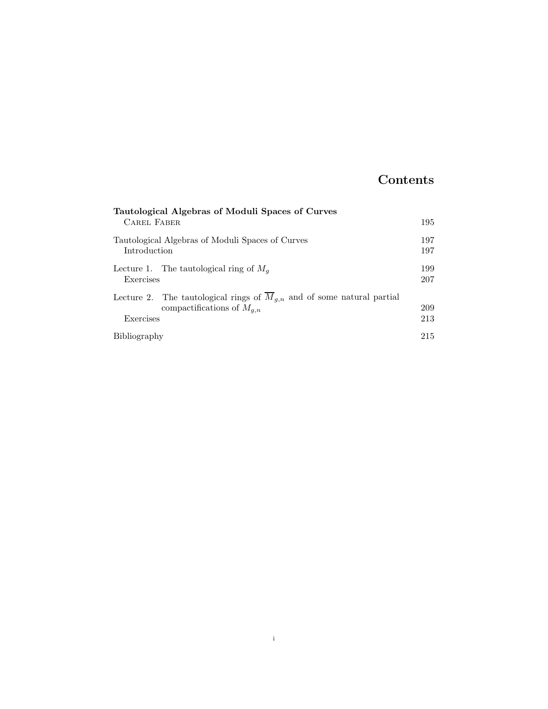## Contents

| Tautological Algebras of Moduli Spaces of Curves                                                                        |            |
|-------------------------------------------------------------------------------------------------------------------------|------------|
| <b>CAREL FABER</b>                                                                                                      | 195        |
| Tautological Algebras of Moduli Spaces of Curves<br>Introduction                                                        | 197<br>197 |
| Lecture 1. The tautological ring of $M_q$<br>Exercises                                                                  | 199<br>207 |
| Lecture 2. The tautological rings of $\overline{M}_{q,n}$ and of some natural partial<br>compactifications of $M_{q,n}$ | 209        |
| Exercises                                                                                                               | 213        |
| Bibliography                                                                                                            | 215        |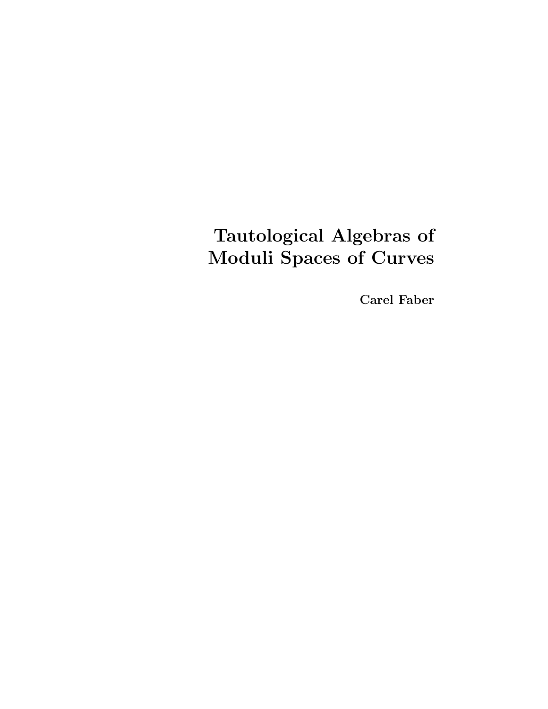# Tautological Algebras of Moduli Spaces of Curves

Carel Faber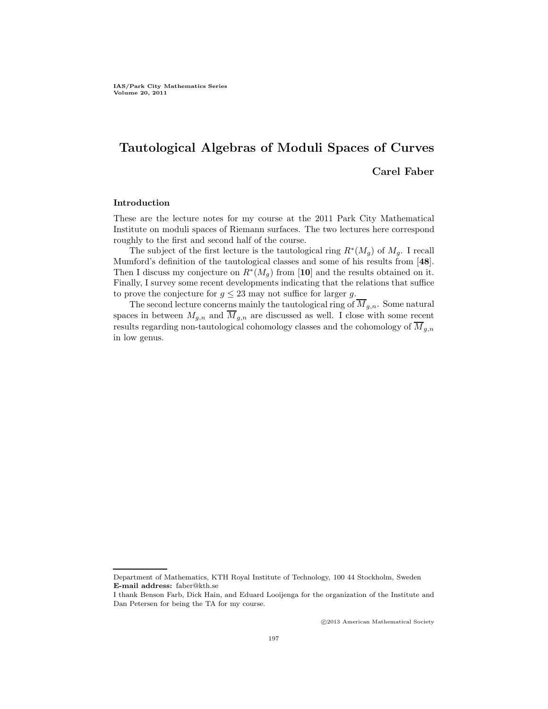## Tautological Algebras of Moduli Spaces of Curves Carel Faber

#### Introduction

These are the lecture notes for my course at the 2011 Park City Mathematical Institute on moduli spaces of Riemann surfaces. The two lectures here correspond roughly to the first and second half of the course.

The subject of the first lecture is the tautological ring  $R^*(M_g)$  of  $M_g$ . I recall Mumford's definition of the tautological classes and some of his results from [48]. Then I discuss my conjecture on  $R^*(M_g)$  from [10] and the results obtained on it. Finally, I survey some recent developments indicating that the relations that suffice to prove the conjecture for  $g \leq 23$  may not suffice for larger g.

The second lecture concerns mainly the tautological ring of  $\overline{M}_{g,n}$ . Some natural spaces in between  $M_{g,n}$  and  $\overline{M}_{g,n}$  are discussed as well. I close with some recent results regarding non-tautological cohomology classes and the cohomology of  $\overline{M}_{q,n}$ in low genus.

c 2013 American Mathematical Society

Department of Mathematics, KTH Royal Institute of Technology, 100 44 Stockholm, Sweden E-mail address: faber@kth.se

I thank Benson Farb, Dick Hain, and Eduard Looijenga for the organization of the Institute and Dan Petersen for being the TA for my course.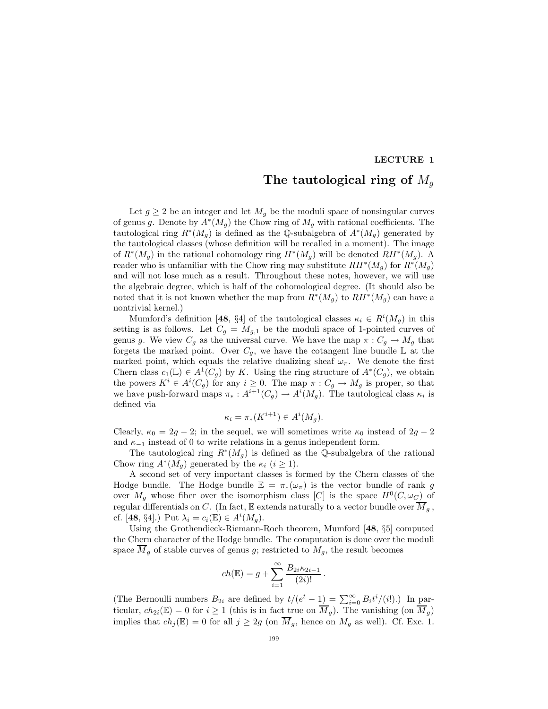#### LECTURE 1

### The tautological ring of  $M_q$

Let  $g \geq 2$  be an integer and let  $M_g$  be the moduli space of nonsingular curves of genus g. Denote by  $A^*(M_g)$  the Chow ring of  $M_g$  with rational coefficients. The tautological ring  $R^*(M_g)$  is defined as the Q-subalgebra of  $A^*(M_g)$  generated by the tautological classes (whose definition will be recalled in a moment). The image of  $R^*(M_g)$  in the rational cohomology ring  $H^*(M_g)$  will be denoted  $RH^*(M_g)$ . A reader who is unfamiliar with the Chow ring may substitute  $RH^*(M_g)$  for  $R^*(M_g)$ and will not lose much as a result. Throughout these notes, however, we will use the algebraic degree, which is half of the cohomological degree. (It should also be noted that it is not known whether the map from  $R^*(M_g)$  to  $RH^*(M_g)$  can have a nontrivial kernel.)

Mumford's definition [48, §4] of the tautological classes  $\kappa_i \in R^i(M_g)$  in this setting is as follows. Let  $C_g = M_{g,1}$  be the moduli space of 1-pointed curves of genus g. We view  $C_g$  as the universal curve. We have the map  $\pi: C_g \to M_g$  that forgets the marked point. Over  $C_g$ , we have the cotangent line bundle  $\mathbb L$  at the marked point, which equals the relative dualizing sheaf  $\omega_{\pi}$ . We denote the first Chern class  $c_1(\mathbb{L}) \in A^1(C_g)$  by K. Using the ring structure of  $A^*(C_g)$ , we obtain the powers  $K^i \in A^i(C_g)$  for any  $i \geq 0$ . The map  $\pi: C_g \to M_g$  is proper, so that we have push-forward maps  $\pi_*: A^{i+1}(C_g) \to A^i(M_g)$ . The tautological class  $\kappa_i$  is defined via

$$
\kappa_i = \pi_*(K^{i+1}) \in A^i(M_g).
$$

Clearly,  $\kappa_0 = 2g - 2$ ; in the sequel, we will sometimes write  $\kappa_0$  instead of  $2g - 2$ and  $\kappa_{-1}$  instead of 0 to write relations in a genus independent form.

The tautological ring  $R^*(M_g)$  is defined as the Q-subalgebra of the rational Chow ring  $A^*(M_g)$  generated by the  $\kappa_i$   $(i \geq 1)$ .

A second set of very important classes is formed by the Chern classes of the Hodge bundle. The Hodge bundle  $\mathbb{E} = \pi_*(\omega_\pi)$  is the vector bundle of rank g over  $M_g$  whose fiber over the isomorphism class [C] is the space  $H^0(C, \omega_C)$  of regular differentials on C. (In fact,  $E$  extends naturally to a vector bundle over  $M_g$ , cf. [48, §4].) Put  $\lambda_i = c_i(\mathbb{E}) \in A^i(M_g)$ .

Using the Grothendieck-Riemann-Roch theorem, Mumford [48, §5] computed the Chern character of the Hodge bundle. The computation is done over the moduli space  $M_g$  of stable curves of genus g; restricted to  $M_g$ , the result becomes

$$
ch(\mathbb{E}) = g + \sum_{i=1}^{\infty} \frac{B_{2i} \kappa_{2i-1}}{(2i)!}.
$$

(The Bernoulli numbers  $B_{2i}$  are defined by  $t/(e^t - 1) = \sum_{i=0}^{\infty} B_i t^i/(i!)$ .) In particular,  $ch_{2i}(\mathbb{E}) = 0$  for  $i \geq 1$  (this is in fact true on  $\overline{M}_g$ ). The vanishing (on  $\overline{M}_g$ ) implies that  $ch_j(\mathbb{E}) = 0$  for all  $j \geq 2g$  (on  $\overline{M}_g$ , hence on  $M_g$  as well). Cf. Exc. 1.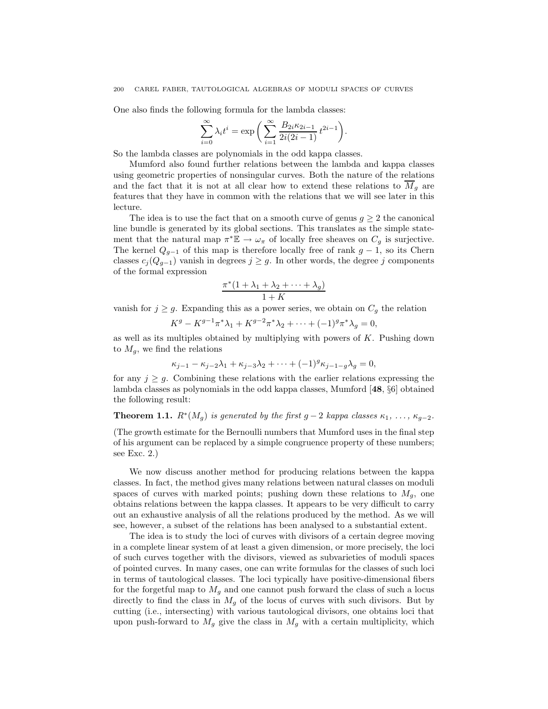One also finds the following formula for the lambda classes:

$$
\sum_{i=0}^{\infty} \lambda_i t^i = \exp\bigg(\sum_{i=1}^{\infty} \frac{B_{2i} \kappa_{2i-1}}{2i(2i-1)} t^{2i-1}\bigg).
$$

So the lambda classes are polynomials in the odd kappa classes.

Mumford also found further relations between the lambda and kappa classes using geometric properties of nonsingular curves. Both the nature of the relations and the fact that it is not at all clear how to extend these relations to  $\overline{M}_q$  are features that they have in common with the relations that we will see later in this lecture.

The idea is to use the fact that on a smooth curve of genus  $q \geq 2$  the canonical line bundle is generated by its global sections. This translates as the simple statement that the natural map  $\pi^* \mathbb{E} \to \omega_\pi$  of locally free sheaves on  $C_g$  is surjective. The kernel  $Q_{g-1}$  of this map is therefore locally free of rank  $g-1$ , so its Chern classes  $c_j(Q_{g-1})$  vanish in degrees  $j \geq g$ . In other words, the degree j components of the formal expression

$$
\frac{\pi^*(1+\lambda_1+\lambda_2+\cdots+\lambda_g)}{1+K}
$$

vanish for  $j \geq g$ . Expanding this as a power series, we obtain on  $C_g$  the relation

$$
K^{g} - K^{g-1}\pi^* \lambda_1 + K^{g-2}\pi^* \lambda_2 + \dots + (-1)^g \pi^* \lambda_g = 0,
$$

as well as its multiples obtained by multiplying with powers of  $K$ . Pushing down to  $M<sub>g</sub>$ , we find the relations

$$
\kappa_{j-1} - \kappa_{j-2}\lambda_1 + \kappa_{j-3}\lambda_2 + \dots + (-1)^g \kappa_{j-1-g}\lambda_g = 0,
$$

for any  $j \geq g$ . Combining these relations with the earlier relations expressing the lambda classes as polynomials in the odd kappa classes, Mumford [48, §6] obtained the following result:

### **Theorem 1.1.**  $R^*(M_g)$  is generated by the first  $g-2$  kappa classes  $\kappa_1, \ldots, \kappa_{g-2}$ .

(The growth estimate for the Bernoulli numbers that Mumford uses in the final step of his argument can be replaced by a simple congruence property of these numbers; see Exc. 2.)

We now discuss another method for producing relations between the kappa classes. In fact, the method gives many relations between natural classes on moduli spaces of curves with marked points; pushing down these relations to  $M_q$ , one obtains relations between the kappa classes. It appears to be very difficult to carry out an exhaustive analysis of all the relations produced by the method. As we will see, however, a subset of the relations has been analysed to a substantial extent.

The idea is to study the loci of curves with divisors of a certain degree moving in a complete linear system of at least a given dimension, or more precisely, the loci of such curves together with the divisors, viewed as subvarieties of moduli spaces of pointed curves. In many cases, one can write formulas for the classes of such loci in terms of tautological classes. The loci typically have positive-dimensional fibers for the forgetful map to  $M_g$  and one cannot push forward the class of such a locus directly to find the class in  $M_g$  of the locus of curves with such divisors. But by cutting (i.e., intersecting) with various tautological divisors, one obtains loci that upon push-forward to  $M_g$  give the class in  $M_g$  with a certain multiplicity, which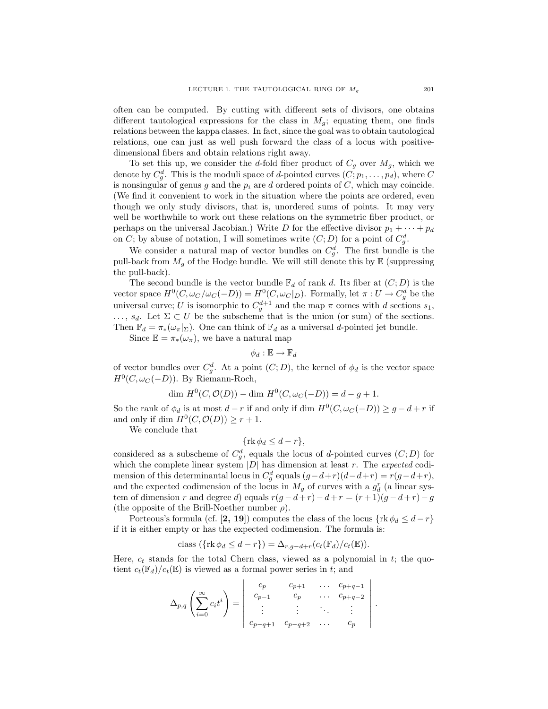often can be computed. By cutting with different sets of divisors, one obtains different tautological expressions for the class in  $M_g$ ; equating them, one finds relations between the kappa classes. In fact, since the goal was to obtain tautological relations, one can just as well push forward the class of a locus with positivedimensional fibers and obtain relations right away.

To set this up, we consider the d-fold fiber product of  $C_g$  over  $M_g$ , which we denote by  $C_g^d$ . This is the moduli space of d-pointed curves  $(C; p_1, \ldots, p_d)$ , where C is nonsingular of genus g and the  $p_i$  are d ordered points of C, which may coincide. (We find it convenient to work in the situation where the points are ordered, even though we only study divisors, that is, unordered sums of points. It may very well be worthwhile to work out these relations on the symmetric fiber product, or perhaps on the universal Jacobian.) Write D for the effective divisor  $p_1 + \cdots + p_d$ on C; by abuse of notation, I will sometimes write  $(C; D)$  for a point of  $C_g^d$ .

We consider a natural map of vector bundles on  $C_g^d$ . The first bundle is the pull-back from  $M_g$  of the Hodge bundle. We will still denote this by  $\mathbb E$  (suppressing the pull-back).

The second bundle is the vector bundle  $\mathbb{F}_d$  of rank d. Its fiber at  $(C; D)$  is the vector space  $H^0(C, \omega_C/\omega_C(-D)) = H^0(C, \omega_C|_D)$ . Formally, let  $\pi: U \to C_g^d$  be the universal curve; U is isomorphic to  $C_g^{d+1}$  and the map  $\pi$  comes with d sections  $s_1$ ,  $\ldots, s_d$ . Let  $\Sigma \subset U$  be the subscheme that is the union (or sum) of the sections. Then  $\mathbb{F}_d = \pi_*(\omega_\pi|_{\Sigma})$ . One can think of  $\mathbb{F}_d$  as a universal d-pointed jet bundle.

Since  $\mathbb{E} = \pi_*(\omega_\pi)$ , we have a natural map

$$
\phi_d:\mathbb{E}\to\mathbb{F}_d
$$

of vector bundles over  $C_g^d$ . At a point  $(C; D)$ , the kernel of  $\phi_d$  is the vector space  $H^0(C, \omega_C(-D))$ . By Riemann-Roch,

$$
\dim H^0(C, \mathcal{O}(D)) - \dim H^0(C, \omega_C(-D)) = d - g + 1.
$$

So the rank of  $\phi_d$  is at most  $d-r$  if and only if dim  $H^0(C, \omega_C(-D)) \geq g-d+r$  if and only if dim  $H^0(C, \mathcal{O}(D)) \geq r+1$ .

We conclude that

$$
\{\operatorname{rk}\phi_d\leq d-r\},\
$$

considered as a subscheme of  $C_g^d$ , equals the locus of d-pointed curves  $(C; D)$  for which the complete linear system  $|D|$  has dimension at least r. The *expected* codimension of this determinantal locus in  $C_g^d$  equals  $(g-d+r)(d-d+r) = r(g-d+r)$ , and the expected codimension of the locus in  $M_g$  of curves with a  $g_d^r$  (a linear system of dimension r and degree d) equals  $r(g-d+r)-d+r = (r+1)(g-d+r)-g$ (the opposite of the Brill-Noether number  $\rho$ ).

Porteous's formula (cf. [2, 19]) computes the class of the locus  $\{rk \phi_d \leq d-r\}$ if it is either empty or has the expected codimension. The formula is:

class 
$$
(\{\text{rk }\phi_d \leq d-r\}) = \Delta_{r,g-d+r}(c_t(\mathbb{F}_d)/c_t(\mathbb{E}))
$$
.

Here,  $c_t$  stands for the total Chern class, viewed as a polynomial in t; the quotient  $c_t(\mathbb{F}_d)/c_t(\mathbb{E})$  is viewed as a formal power series in t; and

$$
\Delta_{p,q}\left(\sum_{i=0}^{\infty}c_{i}t^{i}\right)=\left|\begin{array}{cccc}c_{p}&c_{p+1}&\ldots&c_{p+q-1}\\c_{p-1}&c_{p}&\ldots&c_{p+q-2}\\ \vdots&\vdots&\ddots&\vdots\\c_{p-q+1}&c_{p-q+2}&\ldots&c_{p}\end{array}\right|.
$$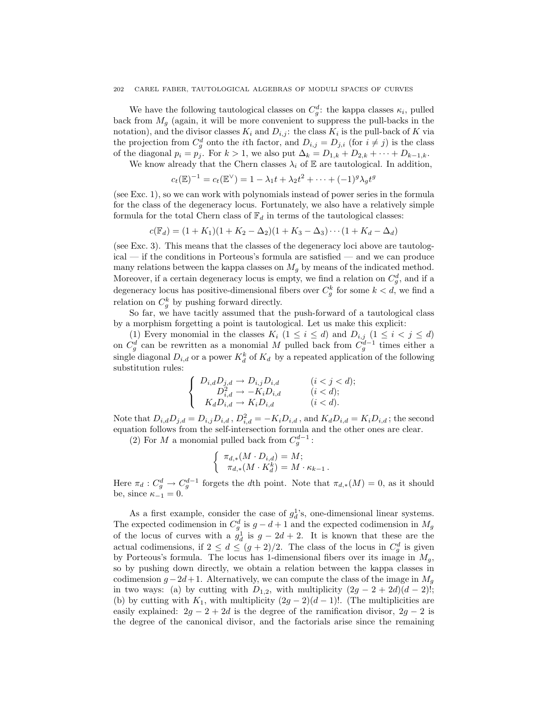#### 202 CAREL FABER, TAUTOLOGICAL ALGEBRAS OF MODULI SPACES OF CURVES

We have the following tautological classes on  $C_g^d$ : the kappa classes  $\kappa_i$ , pulled back from  $M<sub>g</sub>$  (again, it will be more convenient to suppress the pull-backs in the notation), and the divisor classes  $K_i$  and  $D_{i,j}$ : the class  $K_i$  is the pull-back of K via the projection from  $C_g^d$  onto the *i*<sup>th</sup> factor, and  $D_{i,j} = D_{j,i}$  (for  $i \neq j$ ) is the class of the diagonal  $p_i = p_j$ . For  $k > 1$ , we also put  $\Delta_k = D_{1,k} + D_{2,k} + \cdots + D_{k-1,k}$ .

We know already that the Chern classes  $\lambda_i$  of E are tautological. In addition,

$$
c_t(\mathbb{E})^{-1} = c_t(\mathbb{E}^{\vee}) = 1 - \lambda_1 t + \lambda_2 t^2 + \dots + (-1)^g \lambda_g t^g
$$

(see Exc. 1), so we can work with polynomials instead of power series in the formula for the class of the degeneracy locus. Fortunately, we also have a relatively simple formula for the total Chern class of  $\mathbb{F}_d$  in terms of the tautological classes:

$$
c(\mathbb{F}_d) = (1 + K_1)(1 + K_2 - \Delta_2)(1 + K_3 - \Delta_3) \cdots (1 + K_d - \Delta_d)
$$

(see Exc. 3). This means that the classes of the degeneracy loci above are tautological — if the conditions in Porteous's formula are satisfied — and we can produce many relations between the kappa classes on  $M_q$  by means of the indicated method. Moreover, if a certain degeneracy locus is empty, we find a relation on  $C_g^d$ , and if a degeneracy locus has positive-dimensional fibers over  $C_g^k$  for some  $k < d$ , we find a relation on  $C_g^k$  by pushing forward directly.

So far, we have tacitly assumed that the push-forward of a tautological class by a morphism forgetting a point is tautological. Let us make this explicit:

(1) Every monomial in the classes  $K_i$   $(1 \leq i \leq d)$  and  $D_{i,j}$   $(1 \leq i \leq j \leq d)$ on  $C_g^d$  can be rewritten as a monomial M pulled back from  $C_g^{d-1}$  times either a single diagonal  $D_{i,d}$  or a power  $K_d^k$  of  $K_d$  by a repeated application of the following substitution rules:

$$
\begin{cases}\nD_{i,d}D_{j,d} \to D_{i,j}D_{i,d} & (i < j < d); \\
D_{i,d}^2 \to -K_i D_{i,d} & (i < d); \\
K_d D_{i,d} \to K_i D_{i,d} & (i < d).\n\end{cases}
$$

Note that  $D_{i,d}D_{j,d} = D_{i,j}D_{i,d}$ ,  $D_{i,d}^2 = -K_iD_{i,d}$ , and  $K_dD_{i,d} = K_iD_{i,d}$ ; the second equation follows from the self-intersection formula and the other ones are clear.

(2) For M a monomial pulled back from  $C_g^{d-1}$ :

$$
\left\{ \begin{array}{l} \pi_{d,*}(M\cdot D_{i,d})=M; \\ \pi_{d,*}(M\cdot K^k_d)=M\cdot \kappa_{k-1}\,. \end{array} \right.
$$

Here  $\pi_d : C_g^d \to C_g^{d-1}$  forgets the dth point. Note that  $\pi_{d,*}(M) = 0$ , as it should be, since  $\kappa_{-1} = 0$ .

As a first example, consider the case of  $g_d^1$ 's, one-dimensional linear systems. The expected codimension in  $C_g^d$  is  $g - d + 1$  and the expected codimension in  $M_g$ of the locus of curves with a  $g_d^1$  is  $g - 2d + 2$ . It is known that these are the actual codimensions, if  $2 \leq d \leq (g+2)/2$ . The class of the locus in  $C_g^d$  is given by Porteous's formula. The locus has 1-dimensional fibers over its image in  $M<sub>g</sub>$ , so by pushing down directly, we obtain a relation between the kappa classes in codimension  $g - 2d + 1$ . Alternatively, we can compute the class of the image in  $M_g$ in two ways: (a) by cutting with  $D_{1,2}$ , with multiplicity  $(2g - 2 + 2d)(d - 2)!$ ; (b) by cutting with  $K_1$ , with multiplicity  $(2g-2)(d-1)!$ . (The multiplicities are easily explained:  $2g - 2 + 2d$  is the degree of the ramification divisor,  $2g - 2$  is the degree of the canonical divisor, and the factorials arise since the remaining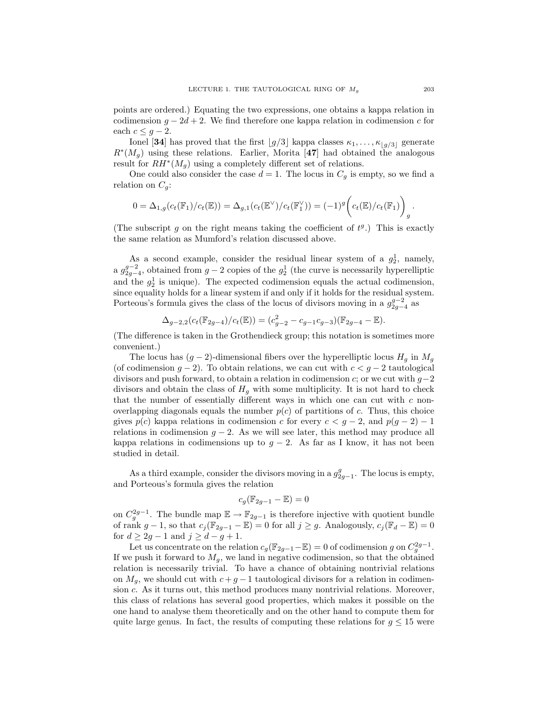points are ordered.) Equating the two expressions, one obtains a kappa relation in codimension  $q - 2d + 2$ . We find therefore one kappa relation in codimension c for each  $c \leq g-2$ .

Ionel [34] has proved that the first  $\lfloor g/3 \rfloor$  kappa classes  $\kappa_1, \ldots, \kappa_{\lfloor g/3 \rfloor}$  generate  $R^*(M_g)$  using these relations. Earlier, Morita [47] had obtained the analogous result for  $RH^*(M_g)$  using a completely different set of relations.

One could also consider the case  $d = 1$ . The locus in  $C_g$  is empty, so we find a relation on  $C_g$ :

$$
0 = \Delta_{1,g}(c_t(\mathbb{F}_1)/c_t(\mathbb{E})) = \Delta_{g,1}(c_t(\mathbb{E}^{\vee})/c_t(\mathbb{F}_1^{\vee})) = (-1)^g \bigg(c_t(\mathbb{E})/c_t(\mathbb{F}_1)\bigg)_{g}.
$$

(The subscript g on the right means taking the coefficient of  $t<sup>g</sup>$ .) This is exactly the same relation as Mumford's relation discussed above.

As a second example, consider the residual linear system of a  $g_2^1$ , namely, a  $g_{2g-4}^{g-2}$ , obtained from  $g-2$  copies of the  $g_2^1$  (the curve is necessarily hyperelliptic and the  $g_2^1$  is unique). The expected codimension equals the actual codimension, since equality holds for a linear system if and only if it holds for the residual system. Porteous's formula gives the class of the locus of divisors moving in a  $g_{2g-4}^{g-2}$  as

$$
\Delta_{g-2,2}(c_t(\mathbb{F}_{2g-4})/c_t(\mathbb{E})) = (c_{g-2}^2 - c_{g-1}c_{g-3})(\mathbb{F}_{2g-4} - \mathbb{E}).
$$

(The difference is taken in the Grothendieck group; this notation is sometimes more convenient.)

The locus has  $(g-2)$ -dimensional fibers over the hyperelliptic locus  $H<sub>g</sub>$  in  $M<sub>g</sub>$ (of codimension  $g - 2$ ). To obtain relations, we can cut with  $c < g - 2$  tautological divisors and push forward, to obtain a relation in codimension c; or we cut with  $g-2$ divisors and obtain the class of  $H<sub>g</sub>$  with some multiplicity. It is not hard to check that the number of essentially different ways in which one can cut with  $c$  nonoverlapping diagonals equals the number  $p(c)$  of partitions of c. Thus, this choice gives  $p(c)$  kappa relations in codimension c for every  $c < g - 2$ , and  $p(g - 2) - 1$ relations in codimension  $g - 2$ . As we will see later, this method may produce all kappa relations in codimensions up to  $g - 2$ . As far as I know, it has not been studied in detail.

As a third example, consider the divisors moving in a  $g_{2g-1}^g$ . The locus is empty, and Porteous's formula gives the relation

$$
c_g(\mathbb{F}_{2g-1}-\mathbb{E})=0
$$

on  $C_g^{2g-1}$ . The bundle map  $\mathbb{E} \to \mathbb{F}_{2g-1}$  is therefore injective with quotient bundle of rank  $g-1$ , so that  $c_j(\mathbb{F}_{2g-1}-\mathbb{E})=0$  for all  $j\geq g$ . Analogously,  $c_j(\mathbb{F}_d-\mathbb{E})=0$ for  $d \geq 2g - 1$  and  $j \geq d - g + 1$ .

Let us concentrate on the relation  $c_g(\mathbb{F}_{2g-1}-\mathbb{E})=0$  of codimension g on  $C_g^{2g-1}$ . If we push it forward to  $M<sub>g</sub>$ , we land in negative codimension, so that the obtained relation is necessarily trivial. To have a chance of obtaining nontrivial relations on  $M_g$ , we should cut with  $c + g - 1$  tautological divisors for a relation in codimension c. As it turns out, this method produces many nontrivial relations. Moreover, this class of relations has several good properties, which makes it possible on the one hand to analyse them theoretically and on the other hand to compute them for quite large genus. In fact, the results of computing these relations for  $g \leq 15$  were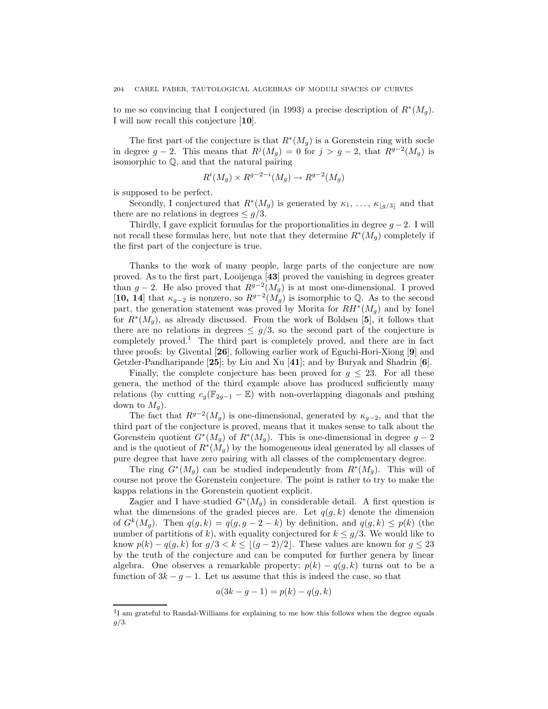to me so convincing that I conjectured (in 1993) a precise description of  $R^*(M_g)$ . I will now recall this conjecture [10].

The first part of the conjecture is that  $R^*(M_g)$  is a Gorenstein ring with socle in degree  $g-2$ . This means that  $R^j(M_g) = 0$  for  $j > g-2$ , that  $R^{g-2}(M_g)$  is isomorphic to Q, and that the natural pairing

$$
R^i(M_g) \times R^{g-2-i}(M_g) \to R^{g-2}(M_g)
$$

is supposed to be perfect.

Secondly, I conjectured that  $R^*(M_g)$  is generated by  $\kappa_1, \ldots, \kappa_{\lfloor g/3 \rfloor}$  and that there are no relations in degrees  $\leq$  g/3.

Thirdly, I gave explicit formulas for the proportionalities in degree  $g - 2$ . I will not recall these formulas here, but note that they determine  $R^*(M_g)$  completely if the first part of the conjecture is true.

Thanks to the work of many people, large parts of the conjecture are now proved. As to the first part, Looijenga [43] proved the vanishing in degrees greater than  $g-2$ . He also proved that  $R^{g-2}(M_g)$  is at most one-dimensional. I proved [10, 14] that  $\kappa_{g-2}$  is nonzero, so  $R^{g-2}(M_g)$  is isomorphic to Q. As to the second part, the generation statement was proved by Morita for  $RH^*(M_g)$  and by Ionel for  $R^*(M_g)$ , as already discussed. From the work of Boldsen [5], it follows that there are no relations in degrees  $\leq g/3$ , so the second part of the conjecture is completely proved.<sup>1</sup> The third part is completely proved, and there are in fact three proofs: by Givental [26], following earlier work of Eguchi-Hori-Xiong [9] and Getzler-Pandharipande [25]; by Liu and Xu [41]; and by Buryak and Shadrin [6].

Finally, the complete conjecture has been proved for  $g \leq 23$ . For all these genera, the method of the third example above has produced sufficiently many relations (by cutting  $c_g(\mathbb{F}_{2g-1}-\mathbb{E})$  with non-overlapping diagonals and pushing down to  $M_q$ ).

The fact that  $R^{g-2}(M_g)$  is one-dimensional, generated by  $\kappa_{g-2}$ , and that the third part of the conjecture is proved, means that it makes sense to talk about the Gorenstein quotient  $G^*(M_g)$  of  $R^*(M_g)$ . This is one-dimensional in degree  $g-2$ and is the quotient of  $R^*(M_g)$  by the homogeneous ideal generated by all classes of pure degree that have zero pairing with all classes of the complementary degree.

The ring  $G^*(M_g)$  can be studied independently from  $R^*(M_g)$ . This will of course not prove the Gorenstein conjecture. The point is rather to try to make the kappa relations in the Gorenstein quotient explicit.

Zagier and I have studied  $G^*(M_g)$  in considerable detail. A first question is what the dimensions of the graded pieces are. Let  $q(g, k)$  denote the dimension of  $G^k(M_g)$ . Then  $q(g, k) = q(g, g - 2 - k)$  by definition, and  $q(g, k) \leq p(k)$  (the number of partitions of k), with equality conjectured for  $k \leq g/3$ . We would like to know  $p(k) - q(g, k)$  for  $g/3 < k \leq \lfloor (g-2)/2 \rfloor$ . These values are known for  $g \leq 23$ by the truth of the conjecture and can be computed for further genera by linear algebra. One observes a remarkable property:  $p(k) - q(g, k)$  turns out to be a function of  $3k - g - 1$ . Let us assume that this is indeed the case, so that

$$
a(3k - g - 1) = p(k) - q(g, k)
$$

<sup>&</sup>lt;sup>1</sup>I am grateful to Randal-Williams for explaining to me how this follows when the degree equals  $g/3$ .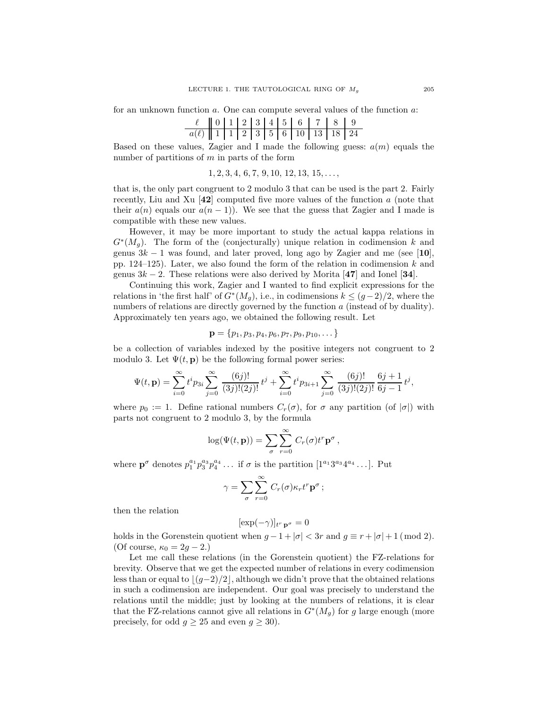for an unknown function a. One can compute several values of the function a:

|                                                       |  |  |  | $\ell$ 0 1 2 3 4 5 6 7 8 9 |  |
|-------------------------------------------------------|--|--|--|----------------------------|--|
| $a(\ell)$   1   1   2   3   5   6   10   13   18   24 |  |  |  |                            |  |

Based on these values, Zagier and I made the following guess:  $a(m)$  equals the number of partitions of  $m$  in parts of the form

$$
1, 2, 3, 4, 6, 7, 9, 10, 12, 13, 15, \ldots,
$$

that is, the only part congruent to 2 modulo 3 that can be used is the part 2. Fairly recently, Liu and Xu  $[42]$  computed five more values of the function a (note that their  $a(n)$  equals our  $a(n - 1)$ ). We see that the guess that Zagier and I made is compatible with these new values.

However, it may be more important to study the actual kappa relations in  $G^*(M_g)$ . The form of the (conjecturally) unique relation in codimension k and genus  $3k - 1$  was found, and later proved, long ago by Zagier and me (see [10], pp. 124–125). Later, we also found the form of the relation in codimension  $k$  and genus  $3k - 2$ . These relations were also derived by Morita [47] and Ionel [34].

Continuing this work, Zagier and I wanted to find explicit expressions for the relations in 'the first half' of  $G^*(M_g)$ , i.e., in codimensions  $k \leq (g-2)/2$ , where the numbers of relations are directly governed by the function a (instead of by duality). Approximately ten years ago, we obtained the following result. Let

$$
\mathbf{p} = \{p_1, p_3, p_4, p_6, p_7, p_9, p_{10}, \dots\}
$$

be a collection of variables indexed by the positive integers not congruent to 2 modulo 3. Let  $\Psi(t, \mathbf{p})$  be the following formal power series:

$$
\Psi(t, \mathbf{p}) = \sum_{i=0}^{\infty} t^i p_{3i} \sum_{j=0}^{\infty} \frac{(6j)!}{(3j)!(2j)!} t^j + \sum_{i=0}^{\infty} t^i p_{3i+1} \sum_{j=0}^{\infty} \frac{(6j)!}{(3j)!(2j)!} \frac{6j+1}{6j-1} t^j,
$$

where  $p_0 := 1$ . Define rational numbers  $C_r(\sigma)$ , for  $\sigma$  any partition (of  $|\sigma|$ ) with parts not congruent to 2 modulo 3, by the formula

$$
\log(\Psi(t, \mathbf{p})) = \sum_{\sigma} \sum_{r=0}^{\infty} C_r(\sigma) t^r \mathbf{p}^{\sigma},
$$

where  $\mathbf{p}^{\sigma}$  denotes  $p_1^{a_1}p_3^{a_3}p_4^{a_4} \dots$  if  $\sigma$  is the partition  $[1^{a_1}3^{a_3}4^{a_4} \dots]$ . Put

$$
\gamma = \sum_{\sigma} \sum_{r=0}^{\infty} C_r(\sigma) \kappa_r t^r \mathbf{p}^{\sigma} ;
$$

then the relation

$$
[\exp(-\gamma)]_{t^r \, \mathbf{p}^\sigma} = 0
$$

holds in the Gorenstein quotient when  $g - 1 + |\sigma| < 3r$  and  $g \equiv r + |\sigma| + 1 \pmod{2}$ . (Of course,  $\kappa_0 = 2g - 2$ .)

Let me call these relations (in the Gorenstein quotient) the FZ-relations for brevity. Observe that we get the expected number of relations in every codimension less than or equal to  $|(g-2)/2|$ , although we didn't prove that the obtained relations in such a codimension are independent. Our goal was precisely to understand the relations until the middle; just by looking at the numbers of relations, it is clear that the FZ-relations cannot give all relations in  $G^*(M_g)$  for g large enough (more precisely, for odd  $g \ge 25$  and even  $g \ge 30$ .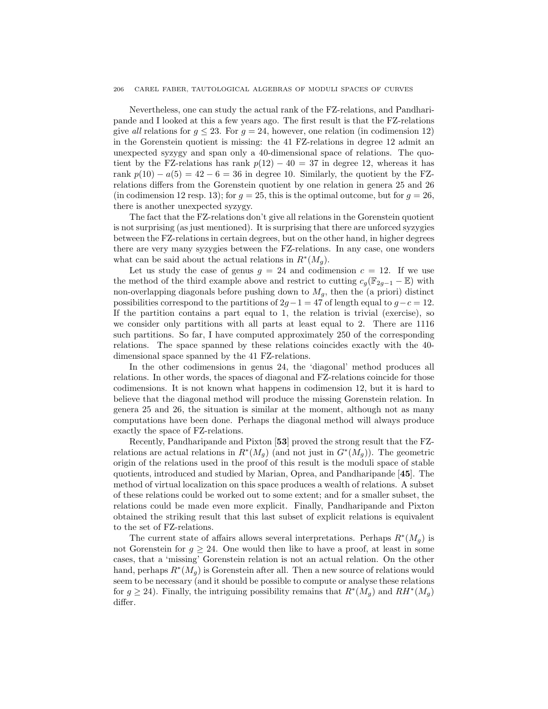#### 206 CAREL FABER, TAUTOLOGICAL ALGEBRAS OF MODULI SPACES OF CURVES

Nevertheless, one can study the actual rank of the FZ-relations, and Pandharipande and I looked at this a few years ago. The first result is that the FZ-relations give all relations for  $g \leq 23$ . For  $g = 24$ , however, one relation (in codimension 12) in the Gorenstein quotient is missing: the 41 FZ-relations in degree 12 admit an unexpected syzygy and span only a 40-dimensional space of relations. The quotient by the FZ-relations has rank  $p(12) - 40 = 37$  in degree 12, whereas it has rank  $p(10) - a(5) = 42 - 6 = 36$  in degree 10. Similarly, the quotient by the FZrelations differs from the Gorenstein quotient by one relation in genera 25 and 26 (in codimension 12 resp. 13); for  $g = 25$ , this is the optimal outcome, but for  $g = 26$ , there is another unexpected syzygy.

The fact that the FZ-relations don't give all relations in the Gorenstein quotient is not surprising (as just mentioned). It is surprising that there are unforced syzygies between the FZ-relations in certain degrees, but on the other hand, in higher degrees there are very many syzygies between the FZ-relations. In any case, one wonders what can be said about the actual relations in  $R^*(M_g)$ .

Let us study the case of genus  $g = 24$  and codimension  $c = 12$ . If we use the method of the third example above and restrict to cutting  $c_g(\mathbb{F}_{2g-1}-\mathbb{E})$  with non-overlapping diagonals before pushing down to  $M_q$ , then the (a priori) distinct possibilities correspond to the partitions of  $2g-1 = 47$  of length equal to  $g-c = 12$ . If the partition contains a part equal to 1, the relation is trivial (exercise), so we consider only partitions with all parts at least equal to 2. There are 1116 such partitions. So far, I have computed approximately 250 of the corresponding relations. The space spanned by these relations coincides exactly with the 40 dimensional space spanned by the 41 FZ-relations.

In the other codimensions in genus 24, the 'diagonal' method produces all relations. In other words, the spaces of diagonal and FZ-relations coincide for those codimensions. It is not known what happens in codimension 12, but it is hard to believe that the diagonal method will produce the missing Gorenstein relation. In genera 25 and 26, the situation is similar at the moment, although not as many computations have been done. Perhaps the diagonal method will always produce exactly the space of FZ-relations.

Recently, Pandharipande and Pixton [53] proved the strong result that the FZrelations are actual relations in  $R^*(M_g)$  (and not just in  $G^*(M_g)$ ). The geometric origin of the relations used in the proof of this result is the moduli space of stable quotients, introduced and studied by Marian, Oprea, and Pandharipande [45]. The method of virtual localization on this space produces a wealth of relations. A subset of these relations could be worked out to some extent; and for a smaller subset, the relations could be made even more explicit. Finally, Pandharipande and Pixton obtained the striking result that this last subset of explicit relations is equivalent to the set of FZ-relations.

The current state of affairs allows several interpretations. Perhaps  $R^*(M_g)$  is not Gorenstein for  $g \geq 24$ . One would then like to have a proof, at least in some cases, that a 'missing' Gorenstein relation is not an actual relation. On the other hand, perhaps  $R^*(M_g)$  is Gorenstein after all. Then a new source of relations would seem to be necessary (and it should be possible to compute or analyse these relations for  $g \ge 24$ ). Finally, the intriguing possibility remains that  $R^*(M_g)$  and  $RH^*(M_g)$ differ.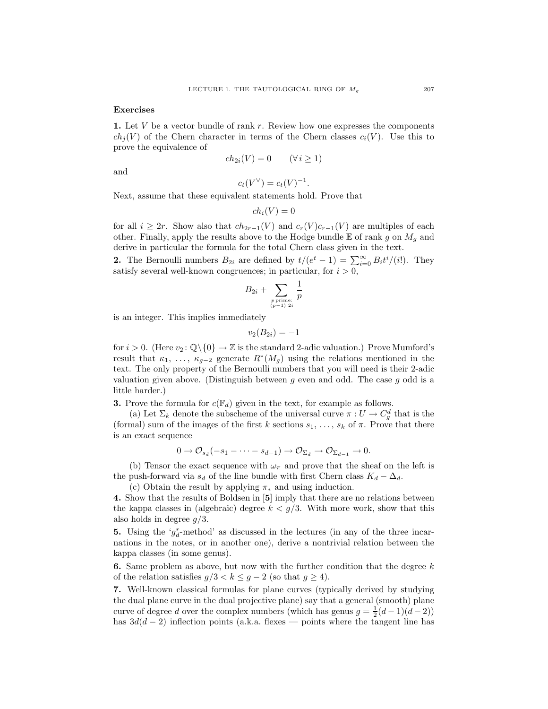#### Exercises

1. Let  $V$  be a vector bundle of rank  $r$ . Review how one expresses the components  $ch_i(V)$  of the Chern character in terms of the Chern classes  $c_i(V)$ . Use this to prove the equivalence of

$$
ch_{2i}(V) = 0 \qquad (\forall i \ge 1)
$$

and

$$
c_t(V^\vee) = c_t(V)^{-1}
$$

.

Next, assume that these equivalent statements hold. Prove that

$$
ch_i(V) = 0
$$

for all  $i \geq 2r$ . Show also that  $ch_{2r-1}(V)$  and  $c_r(V)c_{r-1}(V)$  are multiples of each other. Finally, apply the results above to the Hodge bundle  $E$  of rank g on  $M_q$  and derive in particular the formula for the total Chern class given in the text.

**2.** The Bernoulli numbers  $B_{2i}$  are defined by  $t/(e^t - 1) = \sum_{i=0}^{\infty} B_i t^i/(i!)$ . They satisfy several well-known congruences; in particular, for  $i > 0$ ,

$$
B_{2i} + \sum_{p \text{ prime:} \atop (p-1) \mid 2i} \frac{1}{p}
$$

is an integer. This implies immediately

$$
v_2(B_{2i})=-1
$$

for  $i > 0$ . (Here  $v_2 : \mathbb{Q} \setminus \{0\} \to \mathbb{Z}$  is the standard 2-adic valuation.) Prove Mumford's result that  $\kappa_1, \ldots, \kappa_{g-2}$  generate  $R^*(M_g)$  using the relations mentioned in the text. The only property of the Bernoulli numbers that you will need is their 2-adic valuation given above. (Distinguish between g even and odd. The case g odd is a little harder.)

**3.** Prove the formula for  $c(\mathbb{F}_d)$  given in the text, for example as follows.

(a) Let  $\Sigma_k$  denote the subscheme of the universal curve  $\pi: U \to C_g^d$  that is the (formal) sum of the images of the first k sections  $s_1, \ldots, s_k$  of  $\pi$ . Prove that there is an exact sequence

$$
0 \to \mathcal{O}_{s_d}(-s_1 - \cdots - s_{d-1}) \to \mathcal{O}_{\Sigma_d} \to \mathcal{O}_{\Sigma_{d-1}} \to 0.
$$

(b) Tensor the exact sequence with  $\omega_{\pi}$  and prove that the sheaf on the left is the push-forward via  $s_d$  of the line bundle with first Chern class  $K_d - \Delta_d$ .

(c) Obtain the result by applying  $\pi_*$  and using induction.

4. Show that the results of Boldsen in [5] imply that there are no relations between the kappa classes in (algebraic) degree  $k < g/3$ . With more work, show that this also holds in degree  $q/3$ .

**5.** Using the ' $g_d^r$ -method' as discussed in the lectures (in any of the three incarnations in the notes, or in another one), derive a nontrivial relation between the kappa classes (in some genus).

**6.** Same problem as above, but now with the further condition that the degree  $k$ of the relation satisfies  $g/3 < k \leq g-2$  (so that  $g \geq 4$ ).

7. Well-known classical formulas for plane curves (typically derived by studying the dual plane curve in the dual projective plane) say that a general (smooth) plane curve of degree d over the complex numbers (which has genus  $g = \frac{1}{2}(d-1)(d-2)$ ) has  $3d(d-2)$  inflection points (a.k.a. flexes — points where the tangent line has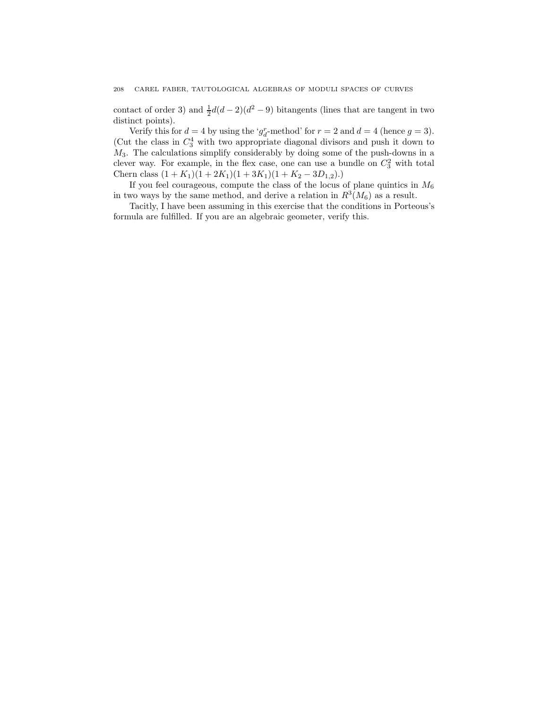#### 208 CAREL FABER, TAUTOLOGICAL ALGEBRAS OF MODULI SPACES OF CURVES

contact of order 3) and  $\frac{1}{2}d(d-2)(d^2-9)$  bitangents (lines that are tangent in two distinct points).

Verify this for  $d = 4$  by using the ' $g_d^r$ -method' for  $r = 2$  and  $d = 4$  (hence  $g = 3$ ). (Cut the class in  $C_3^4$  with two appropriate diagonal divisors and push it down to  $M_3$ . The calculations simplify considerably by doing some of the push-downs in a clever way. For example, in the flex case, one can use a bundle on  $C_3^2$  with total Chern class  $(1 + K_1)(1 + 2K_1)(1 + 3K_1)(1 + K_2 - 3D_{1,2}).$ 

If you feel courageous, compute the class of the locus of plane quintics in  $M_6$ in two ways by the same method, and derive a relation in  $R^3(M_6)$  as a result.

Tacitly, I have been assuming in this exercise that the conditions in Porteous's formula are fulfilled. If you are an algebraic geometer, verify this.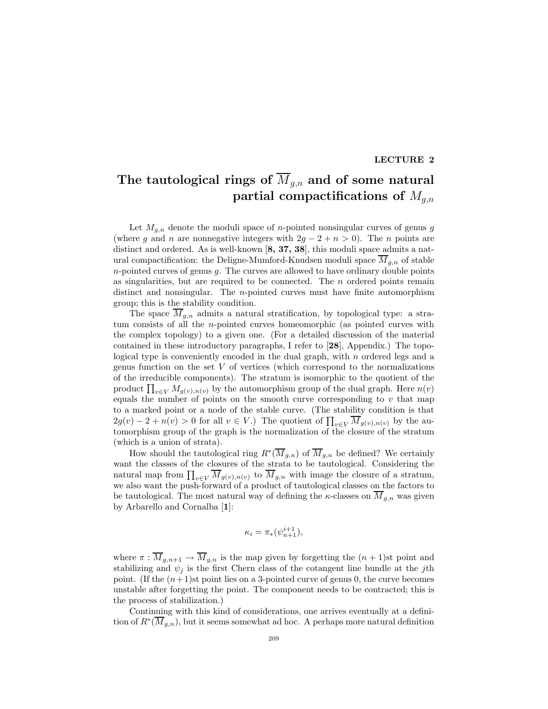#### LECTURE 2

## The tautological rings of  $\overline{M}_{g,n}$  and of some natural partial compactifications of  $M_{g,n}$

Let  $M_{q,n}$  denote the moduli space of *n*-pointed nonsingular curves of genus g (where g and n are nonnegative integers with  $2g - 2 + n > 0$ ). The n points are distinct and ordered. As is well-known [8, 37, 38], this moduli space admits a natural compactification: the Deligne-Mumford-Knudsen moduli space  $\overline{M}_{g,n}$  of stable  $n$ -pointed curves of genus  $g$ . The curves are allowed to have ordinary double points as singularities, but are required to be connected. The  $n$  ordered points remain distinct and nonsingular. The n-pointed curves must have finite automorphism group; this is the stability condition.

The space  $\overline{M}_{q,n}$  admits a natural stratification, by topological type: a stratum consists of all the n-pointed curves homeomorphic (as pointed curves with the complex topology) to a given one. (For a detailed discussion of the material contained in these introductory paragraphs, I refer to [28], Appendix.) The topological type is conveniently encoded in the dual graph, with  $n$  ordered legs and a genus function on the set  $V$  of vertices (which correspond to the normalizations of the irreducible components). The stratum is isomorphic to the quotient of the product  $\prod_{v \in V} M_{g(v),n(v)}$  by the automorphism group of the dual graph. Here  $n(v)$ equals the number of points on the smooth curve corresponding to  $v$  that map to a marked point or a node of the stable curve. (The stability condition is that  $2g(v) - 2 + n(v) > 0$  for all  $v \in V$ .) The quotient of  $\prod_{v \in V} M_{g(v),n(v)}$  by the automorphism group of the graph is the normalization of the closure of the stratum (which is a union of strata).

How should the tautological ring  $R^*(\overline{M}_{g,n})$  of  $\overline{M}_{g,n}$  be defined? We certainly want the classes of the closures of the strata to be tautological. Considering the natural map from  $\prod_{v\in V} M_{g(v),n(v)}$  to  $M_{g,n}$  with image the closure of a stratum, we also want the push-forward of a product of tautological classes on the factors to be tautological. The most natural way of defining the  $\kappa$ -classes on  $\overline{M}_{g,n}$  was given by Arbarello and Cornalba [1]:

$$
\kappa_i = \pi_*(\psi_{n+1}^{i+1}),
$$

where  $\pi : \overline{M}_{g,n+1} \to \overline{M}_{g,n}$  is the map given by forgetting the  $(n + 1)$ st point and stabilizing and  $\psi_i$  is the first Chern class of the cotangent line bundle at the jth point. (If the  $(n+1)$ st point lies on a 3-pointed curve of genus 0, the curve becomes unstable after forgetting the point. The component needs to be contracted; this is the process of stabilization.)

Continuing with this kind of considerations, one arrives eventually at a definition of  $R^*(\overline{M}_{g,n})$ , but it seems somewhat ad hoc. A perhaps more natural definition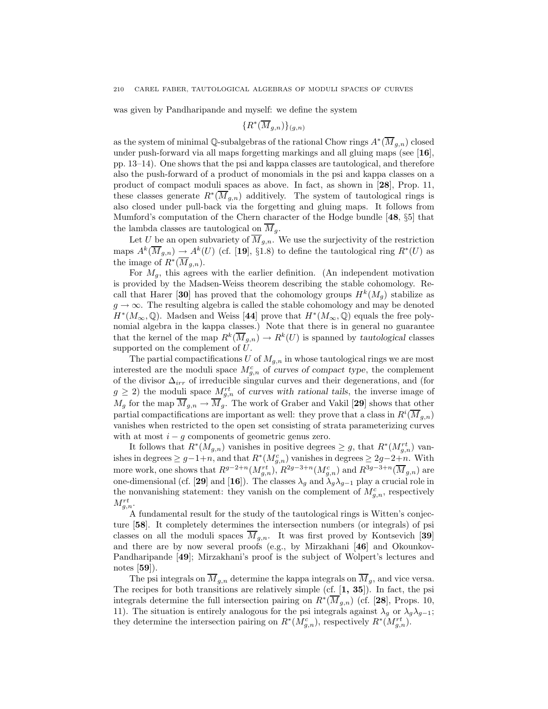was given by Pandharipande and myself: we define the system

$$
\{R^*(\overline{M}_{g,n})\}_{(g,n)}
$$

as the system of minimal Q-subalgebras of the rational Chow rings  $A^*(\overline{M}_{g,n})$  closed under push-forward via all maps forgetting markings and all gluing maps (see [16], pp. 13–14). One shows that the psi and kappa classes are tautological, and therefore also the push-forward of a product of monomials in the psi and kappa classes on a product of compact moduli spaces as above. In fact, as shown in [28], Prop. 11, these classes generate  $R^*(\overline{M}_{g,n})$  additively. The system of tautological rings is also closed under pull-back via the forgetting and gluing maps. It follows from Mumford's computation of the Chern character of the Hodge bundle [48, §5] that the lambda classes are tautological on  $\overline{M}_q$ .

Let U be an open subvariety of  $\overline{M}_{g,n}$ . We use the surjectivity of the restriction maps  $A^k(\overline{M}_{g,n}) \to A^k(U)$  (cf. [19], §1.8) to define the tautological ring  $R^*(U)$  as the image of  $R^*(\overline{M}_{g,n})$ .

For  $M_q$ , this agrees with the earlier definition. (An independent motivation is provided by the Madsen-Weiss theorem describing the stable cohomology. Recall that Harer [30] has proved that the cohomology groups  $H^k(M_g)$  stabilize as  $g \to \infty$ . The resulting algebra is called the stable cohomology and may be denoted  $H^*(M_\infty,\mathbb{Q})$ . Madsen and Weiss [44] prove that  $H^*(M_\infty,\mathbb{Q})$  equals the free polynomial algebra in the kappa classes.) Note that there is in general no guarantee that the kernel of the map  $R^k(\overline{M}_{g,n}) \to R^k(U)$  is spanned by tautological classes supported on the complement of U.

The partial compactifications U of  $M_{q,n}$  in whose tautological rings we are most interested are the moduli space  $M_{g,n}^c$  of curves of compact type, the complement of the divisor  $\Delta_{irr}$  of irreducible singular curves and their degenerations, and (for  $g \geq 2$ ) the moduli space  $M_{g,n}^{rt}$  of curves with rational tails, the inverse image of  $M_g$  for the map  $\overline{M}_{g,n} \to \overline{M}_g$ . The work of Graber and Vakil [29] shows that other partial compactifications are important as well: they prove that a class in  $R^i(\overline{M}_{g,n})$ vanishes when restricted to the open set consisting of strata parameterizing curves with at most  $i - g$  components of geometric genus zero.

It follows that  $R^*(M_{g,n})$  vanishes in positive degrees  $\geq g$ , that  $R^*(M_{g,n}^{rt})$  vanishes in degrees  $\geq g-1+n$ , and that  $R^*(M_{g,n}^c)$  vanishes in degrees  $\geq 2g-2+n$ . With more work, one shows that  $R^{g-2+n}(M_{g,n}^{rt}), R^{2g-3+n}(M_{g,n}^c)$  and  $R^{3g-3+n}(\overline{M}_{g,n})$  are one-dimensional (cf. [29] and [16]). The classes  $\lambda_g$  and  $\lambda_g \lambda_{g-1}$  play a crucial role in the nonvanishing statement: they vanish on the complement of  $M_{g,n}^c$ , respectively  $M^{rt}_{g,n}$ .

A fundamental result for the study of the tautological rings is Witten's conjecture [58]. It completely determines the intersection numbers (or integrals) of psi classes on all the moduli spaces  $\overline{M}_{g,n}$ . It was first proved by Kontsevich [39] and there are by now several proofs (e.g., by Mirzakhani [46] and Okounkov-Pandharipande [49]; Mirzakhani's proof is the subject of Wolpert's lectures and notes [59]).

The psi integrals on  $\overline{M}_{g,n}$  determine the kappa integrals on  $\overline{M}_{g}$ , and vice versa. The recipes for both transitions are relatively simple (cf. [1, 35]). In fact, the psi integrals determine the full intersection pairing on  $R^*(\overline{M}_{g,n})$  (cf. [28], Props. 10, 11). The situation is entirely analogous for the psi integrals against  $\lambda_q$  or  $\lambda_q \lambda_{q-1}$ ; they determine the intersection pairing on  $R^*(M_{g,n}^c)$ , respectively  $R^*(M_{g,n}^{rt})$ .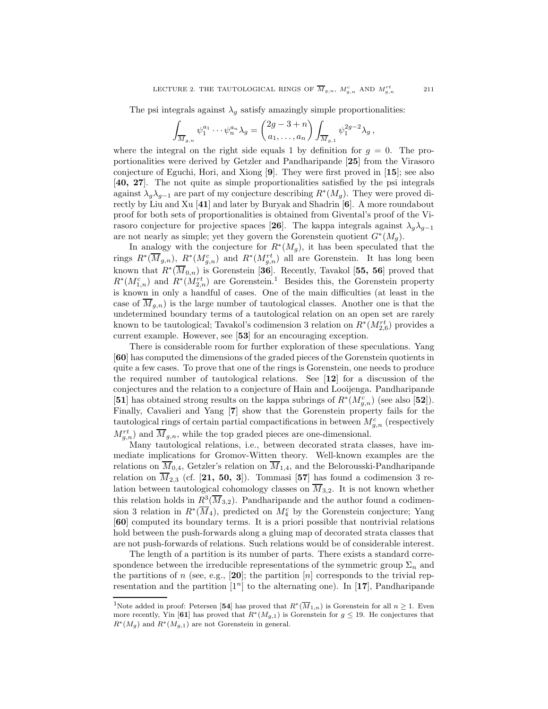The psi integrals against  $\lambda_g$  satisfy amazingly simple proportionalities:

$$
\int_{\overline{M}_{g,n}} \psi_1^{a_1} \cdots \psi_n^{a_n} \lambda_g = \begin{pmatrix} 2g-3+n \\ a_1, \ldots, a_n \end{pmatrix} \int_{\overline{M}_{g,1}} \psi_1^{2g-2} \lambda_g,
$$

where the integral on the right side equals 1 by definition for  $q = 0$ . The proportionalities were derived by Getzler and Pandharipande [25] from the Virasoro conjecture of Eguchi, Hori, and Xiong [9]. They were first proved in [15]; see also [40, 27]. The not quite as simple proportionalities satisfied by the psi integrals against  $\lambda_g \lambda_{g-1}$  are part of my conjecture describing  $R^*(M_g)$ . They were proved directly by Liu and Xu [41] and later by Buryak and Shadrin [6]. A more roundabout proof for both sets of proportionalities is obtained from Givental's proof of the Virasoro conjecture for projective spaces [26]. The kappa integrals against  $\lambda_q \lambda_{q-1}$ are not nearly as simple; yet they govern the Gorenstein quotient  $G^*(M_g)$ .

In analogy with the conjecture for  $R^*(M_g)$ , it has been speculated that the rings  $R^*(\overline{M}_{g,n})$ ,  $R^*(M_{g,n}^c)$  and  $R^*(M_{g,n}^{rt})$  all are Gorenstein. It has long been known that  $R^*(\overline{M}_{0,n})$  is Gorenstein [36]. Recently, Tavakol [55, 56] proved that  $R^*(M_{1,n}^c)$  and  $R^*(M_{2,n}^{rt})$  are Gorenstein.<sup>1</sup> Besides this, the Gorenstein property is known in only a handful of cases. One of the main difficulties (at least in the case of  $M_{g,n}$ ) is the large number of tautological classes. Another one is that the undetermined boundary terms of a tautological relation on an open set are rarely known to be tautological; Tavakol's codimension 3 relation on  $R^*(M^{rt}_{2,6})$  provides a current example. However, see [53] for an encouraging exception.

There is considerable room for further exploration of these speculations. Yang [60] has computed the dimensions of the graded pieces of the Gorenstein quotients in quite a few cases. To prove that one of the rings is Gorenstein, one needs to produce the required number of tautological relations. See [12] for a discussion of the conjectures and the relation to a conjecture of Hain and Looijenga. Pandharipande [51] has obtained strong results on the kappa subrings of  $R^*(M_{g,n}^c)$  (see also [52]). Finally, Cavalieri and Yang [7] show that the Gorenstein property fails for the tautological rings of certain partial compactifications in between  $M_{g,n}^c$  (respectively  $M_{g,n}^{rt}$  and  $\overline{M}_{g,n}$ , while the top graded pieces are one-dimensional.

Many tautological relations, i.e., between decorated strata classes, have immediate implications for Gromov-Witten theory. Well-known examples are the relations on  $M_{0,4}$ , Getzler's relation on  $M_{1,4}$ , and the Belorousski-Pandharipande relation on  $\overline{M}_{2,3}$  (cf. [21, 50, 3]). Tommasi [57] has found a codimension 3 relation between tautological cohomology classes on  $\overline{M}_{3,2}$ . It is not known whether this relation holds in  $R^3(\overline{M}_{3,2})$ . Pandharipande and the author found a codimension 3 relation in  $R^*(\overline{M}_4)$ , predicted on  $M_4^c$  by the Gorenstein conjecture; Yang [60] computed its boundary terms. It is a priori possible that nontrivial relations hold between the push-forwards along a gluing map of decorated strata classes that are not push-forwards of relations. Such relations would be of considerable interest.

The length of a partition is its number of parts. There exists a standard correspondence between the irreducible representations of the symmetric group  $\Sigma_n$  and the partitions of n (see, e.g., [20]; the partition [n] corresponds to the trivial representation and the partition  $[1^n]$  to the alternating one). In [17], Pandharipande

<sup>&</sup>lt;sup>1</sup>Note added in proof: Petersen [54] has proved that  $R^*(\overline{M}_{1,n})$  is Gorenstein for all  $n \geq 1$ . Even more recently, Yin [61] has proved that  $R^*(M_{g,1})$  is Gorenstein for  $g \leq 19$ . He conjectures that  $R^*(M_g)$  and  $R^*(M_{g,1})$  are not Gorenstein in general.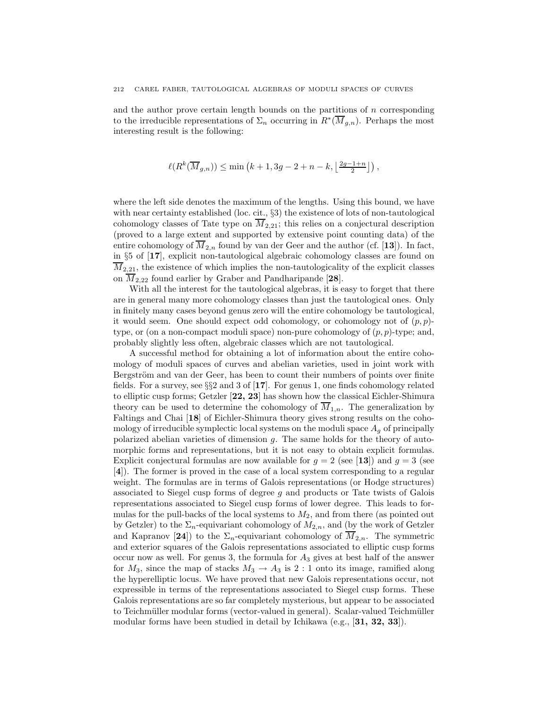and the author prove certain length bounds on the partitions of n corresponding to the irreducible representations of  $\Sigma_n$  occurring in  $R^*(\overline{M}_{g,n})$ . Perhaps the most interesting result is the following:

$$
\ell(R^k(\overline{M}_{g,n})) \leq \min\left(k+1, 3g-2+n-k, \left\lfloor \tfrac{2g-1+n}{2} \right\rfloor \right),
$$

where the left side denotes the maximum of the lengths. Using this bound, we have with near certainty established (loc. cit., §3) the existence of lots of non-tautological cohomology classes of Tate type on  $\overline{M}_{2,21}$ ; this relies on a conjectural description (proved to a large extent and supported by extensive point counting data) of the entire cohomology of  $\overline{M}_{2,n}$  found by van der Geer and the author (cf. [13]). In fact, in §5 of [17], explicit non-tautological algebraic cohomology classes are found on  $\overline{M}_{2,21}$ , the existence of which implies the non-tautologicality of the explicit classes on  $\overline{M}_{2,22}$  found earlier by Graber and Pandharipande [28].

With all the interest for the tautological algebras, it is easy to forget that there are in general many more cohomology classes than just the tautological ones. Only in finitely many cases beyond genus zero will the entire cohomology be tautological, it would seem. One should expect odd cohomology, or cohomology not of  $(p, p)$ type, or (on a non-compact moduli space) non-pure cohomology of  $(p, p)$ -type; and, probably slightly less often, algebraic classes which are not tautological.

A successful method for obtaining a lot of information about the entire cohomology of moduli spaces of curves and abelian varieties, used in joint work with Bergström and van der Geer, has been to count their numbers of points over finite fields. For a survey, see  $\S$  and 3 of [17]. For genus 1, one finds cohomology related to elliptic cusp forms; Getzler [22, 23] has shown how the classical Eichler-Shimura theory can be used to determine the cohomology of  $\overline{M}_{1,n}$ . The generalization by Faltings and Chai [18] of Eichler-Shimura theory gives strong results on the cohomology of irreducible symplectic local systems on the moduli space  $A_q$  of principally polarized abelian varieties of dimension g. The same holds for the theory of automorphic forms and representations, but it is not easy to obtain explicit formulas. Explicit conjectural formulas are now available for  $g = 2$  (see [13]) and  $g = 3$  (see [4]). The former is proved in the case of a local system corresponding to a regular weight. The formulas are in terms of Galois representations (or Hodge structures) associated to Siegel cusp forms of degree g and products or Tate twists of Galois representations associated to Siegel cusp forms of lower degree. This leads to formulas for the pull-backs of the local systems to  $M_2$ , and from there (as pointed out by Getzler) to the  $\Sigma_n$ -equivariant cohomology of  $M_{2,n}$ , and (by the work of Getzler and Kapranov [24]) to the  $\Sigma_n$ -equivariant cohomology of  $\overline{M}_{2,n}$ . The symmetric and exterior squares of the Galois representations associated to elliptic cusp forms occur now as well. For genus 3, the formula for  $A_3$  gives at best half of the answer for  $M_3$ , since the map of stacks  $M_3 \rightarrow A_3$  is 2 : 1 onto its image, ramified along the hyperelliptic locus. We have proved that new Galois representations occur, not expressible in terms of the representations associated to Siegel cusp forms. These Galois representations are so far completely mysterious, but appear to be associated to Teichmüller modular forms (vector-valued in general). Scalar-valued Teichmüller modular forms have been studied in detail by Ichikawa (e.g., [31, 32, 33]).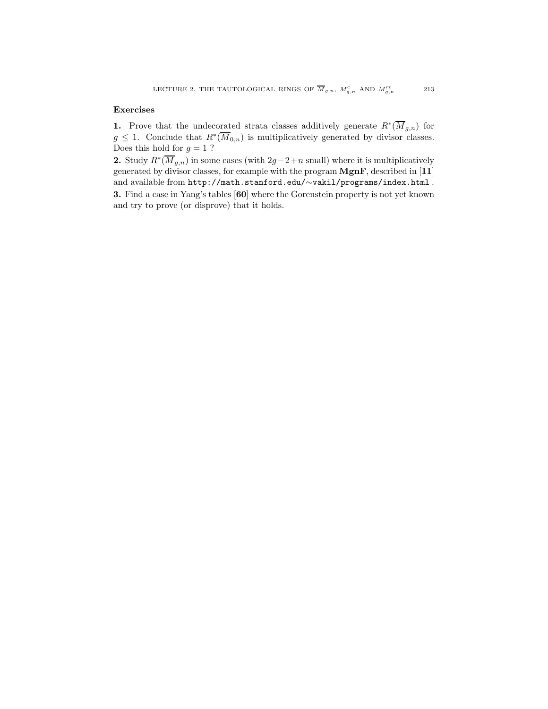#### Exercises

1. Prove that the undecorated strata classes additively generate  $R^*(\overline{M}_{g,n})$  for  $g \leq 1$ . Conclude that  $R^*(\overline{M}_{0,n})$  is multiplicatively generated by divisor classes. Does this hold for  $g = 1$ ?

2. Study  $R^*(\overline{M}_{g,n})$  in some cases (with  $2g-2+n$  small) where it is multiplicatively generated by divisor classes, for example with the program MgnF, described in [11] and available from http://math.stanford.edu/∼vakil/programs/index.html .

3. Find a case in Yang's tables [60] where the Gorenstein property is not yet known and try to prove (or disprove) that it holds.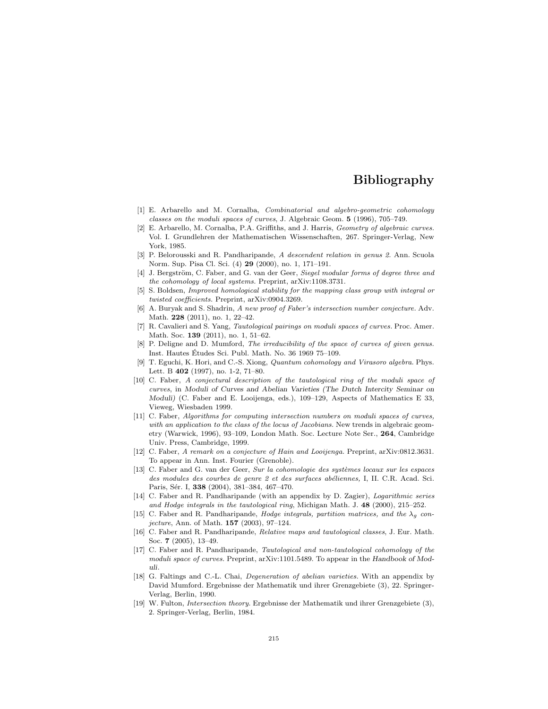### Bibliography

- [1] E. Arbarello and M. Cornalba, *Combinatorial and algebro-geometric cohomology classes on the moduli spaces of curves*, J. Algebraic Geom. 5 (1996), 705–749.
- [2] E. Arbarello, M. Cornalba, P.A. Griffiths, and J. Harris, *Geometry of algebraic curves.* Vol. I. Grundlehren der Mathematischen Wissenschaften, 267. Springer-Verlag, New York, 1985.
- [3] P. Belorousski and R. Pandharipande, *A descendent relation in genus 2.* Ann. Scuola Norm. Sup. Pisa Cl. Sci. (4) 29 (2000), no. 1, 171–191.
- [4] J. Bergström, C. Faber, and G. van der Geer, *Siegel modular forms of degree three and the cohomology of local systems.* Preprint, arXiv:1108.3731.
- [5] S. Boldsen, *Improved homological stability for the mapping class group with integral or twisted coefficients.* Preprint, arXiv:0904.3269.
- [6] A. Buryak and S. Shadrin, *A new proof of Faber's intersection number conjecture.* Adv. Math. 228 (2011), no. 1, 22–42.
- [7] R. Cavalieri and S. Yang, *Tautological pairings on moduli spaces of curves.* Proc. Amer. Math. Soc. 139 (2011), no. 1, 51–62.
- [8] P. Deligne and D. Mumford, *The irreducibility of the space of curves of given genus.* Inst. Hautes Etudes Sci. Publ. Math. No. 36 1969 75–109. ´
- [9] T. Eguchi, K. Hori, and C.-S. Xiong, *Quantum cohomology and Virasoro algebra.* Phys. Lett. B 402 (1997), no. 1-2, 71–80.
- [10] C. Faber, *A conjectural description of the tautological ring of the moduli space of curves*, in Moduli of Curves and Abelian Varieties (The Dutch Intercity Seminar on Moduli) (C. Faber and E. Looijenga, eds.), 109–129, Aspects of Mathematics E 33, Vieweg, Wiesbaden 1999.
- [11] C. Faber, *Algorithms for computing intersection numbers on moduli spaces of curves, with an application to the class of the locus of Jacobians.* New trends in algebraic geometry (Warwick, 1996), 93–109, London Math. Soc. Lecture Note Ser., 264, Cambridge Univ. Press, Cambridge, 1999.
- [12] C. Faber, *A remark on a conjecture of Hain and Looijenga.* Preprint, arXiv:0812.3631. To appear in Ann. Inst. Fourier (Grenoble).
- [13] C. Faber and G. van der Geer, *Sur la cohomologie des systèmes locaux sur les espaces des modules des courbes de genre 2 et des surfaces ab´eliennes,* I, II. C.R. Acad. Sci. Paris, Sér. I, 338 (2004), 381-384, 467-470.
- [14] C. Faber and R. Pandharipande (with an appendix by D. Zagier), *Logarithmic series and Hodge integrals in the tautological ring*, Michigan Math. J. 48 (2000), 215–252.
- [15] C. Faber and R. Pandharipande, *Hodge integrals, partition matrices, and the*  $\lambda_g$  *conjecture*, Ann. of Math. 157 (2003), 97–124.
- [16] C. Faber and R. Pandharipande, *Relative maps and tautological classes*, J. Eur. Math. Soc. 7 (2005), 13–49.
- [17] C. Faber and R. Pandharipande, *Tautological and non-tautological cohomology of the moduli space of curves.* Preprint, arXiv:1101.5489. To appear in the Handbook of Moduli.
- [18] G. Faltings and C.-L. Chai, *Degeneration of abelian varieties.* With an appendix by David Mumford. Ergebnisse der Mathematik und ihrer Grenzgebiete (3), 22. Springer-Verlag, Berlin, 1990.
- [19] W. Fulton, *Intersection theory*. Ergebnisse der Mathematik und ihrer Grenzgebiete (3), 2. Springer-Verlag, Berlin, 1984.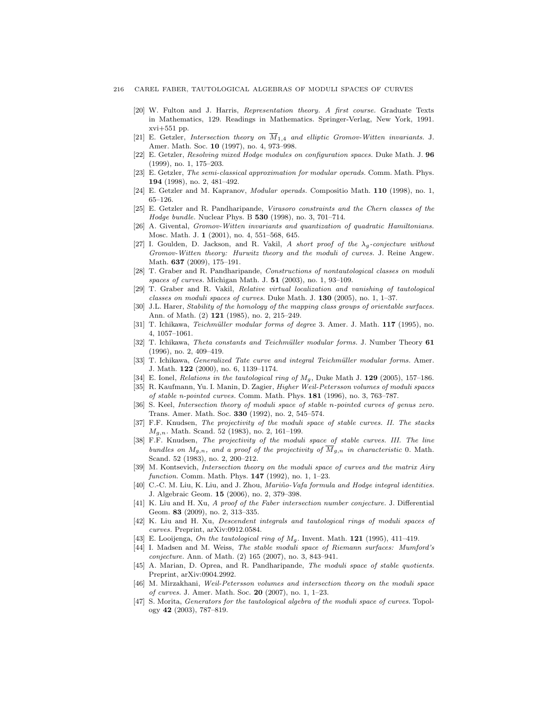#### 216 CAREL FABER, TAUTOLOGICAL ALGEBRAS OF MODULI SPACES OF CURVES

- [20] W. Fulton and J. Harris, *Representation theory. A first course.* Graduate Texts in Mathematics, 129. Readings in Mathematics. Springer-Verlag, New York, 1991. xvi+551 pp.
- [21] E. Getzler, *Intersection theory on*  $\overline{M}_{1,4}$  *and elliptic Gromov-Witten invariants.* J. Amer. Math. Soc. 10 (1997), no. 4, 973–998.
- [22] E. Getzler, *Resolving mixed Hodge modules on configuration spaces.* Duke Math. J. 96 (1999), no. 1, 175–203.
- [23] E. Getzler, *The semi-classical approximation for modular operads.* Comm. Math. Phys. 194 (1998), no. 2, 481–492.
- [24] E. Getzler and M. Kapranov, *Modular operads.* Compositio Math. 110 (1998), no. 1, 65–126.
- [25] E. Getzler and R. Pandharipande, *Virasoro constraints and the Chern classes of the Hodge bundle.* Nuclear Phys. B 530 (1998), no. 3, 701–714.
- [26] A. Givental, *Gromov-Witten invariants and quantization of quadratic Hamiltonians.* Mosc. Math. J. 1 (2001), no. 4, 551–568, 645.
- [27] I. Goulden, D. Jackson, and R. Vakil, *A short proof of the* λg*-conjecture without Gromov-Witten theory: Hurwitz theory and the moduli of curves.* J. Reine Angew. Math. 637 (2009), 175–191.
- [28] T. Graber and R. Pandharipande, *Constructions of nontautological classes on moduli spaces of curves.* Michigan Math. J. 51 (2003), no. 1, 93–109.
- [29] T. Graber and R. Vakil, *Relative virtual localization and vanishing of tautological classes on moduli spaces of curves.* Duke Math. J. 130 (2005), no. 1, 1–37.
- [30] J.L. Harer, *Stability of the homology of the mapping class groups of orientable surfaces.* Ann. of Math. (2) 121 (1985), no. 2, 215–249.
- [31] T. Ichikawa, *Teichmüller modular forms of degree* 3. Amer. J. Math. 117 (1995), no. 4, 1057–1061.
- [32] T. Ichikawa, *Theta constants and Teichm¨uller modular forms.* J. Number Theory 61 (1996), no. 2, 409–419.
- [33] T. Ichikawa, *Generalized Tate curve and integral Teichmüller modular forms.* Amer. J. Math. 122 (2000), no. 6, 1139–1174.
- [34] E. Ionel, *Relations in the tautological ring of* Mg, Duke Math J. 129 (2005), 157–186.
- [35] R. Kaufmann, Yu. I. Manin, D. Zagier, *Higher Weil-Petersson volumes of moduli spaces of stable n-pointed curves.* Comm. Math. Phys. 181 (1996), no. 3, 763–787.
- [36] S. Keel, *Intersection theory of moduli space of stable* n*-pointed curves of genus zero.* Trans. Amer. Math. Soc. 330 (1992), no. 2, 545–574.
- [37] F.F. Knudsen, *The projectivity of the moduli space of stable curves. II. The stacks* Mg,n*.* Math. Scand. 52 (1983), no. 2, 161–199.
- [38] F.F. Knudsen, *The projectivity of the moduli space of stable curves. III. The line bundles on*  $M_{g,n}$ , and a proof of the projectivity of  $\overline{M}_{g,n}$  in characteristic 0. Math. Scand. 52 (1983), no. 2, 200–212.
- [39] M. Kontsevich, *Intersection theory on the moduli space of curves and the matrix Airy function.* Comm. Math. Phys. 147 (1992), no. 1, 1–23.
- [40] C.-C. M. Liu, K. Liu, and J. Zhou, *Mari˜no-Vafa formula and Hodge integral identities.* J. Algebraic Geom. 15 (2006), no. 2, 379–398.
- [41] K. Liu and H. Xu, *A proof of the Faber intersection number conjecture.* J. Differential Geom. 83 (2009), no. 2, 313–335.
- [42] K. Liu and H. Xu, *Descendent integrals and tautological rings of moduli spaces of curves.* Preprint, arXiv:0912.0584.
- [43] E. Looijenga, *On the tautological ring of* Mg. Invent. Math. 121 (1995), 411–419.
- [44] I. Madsen and M. Weiss, *The stable moduli space of Riemann surfaces: Mumford's conjecture.* Ann. of Math. (2) 165 (2007), no. 3, 843–941.
- [45] A. Marian, D. Oprea, and R. Pandharipande, *The moduli space of stable quotients.* Preprint, arXiv:0904.2992.
- [46] M. Mirzakhani, *Weil-Petersson volumes and intersection theory on the moduli space of curves.* J. Amer. Math. Soc. 20 (2007), no. 1, 1–23.
- [47] S. Morita, *Generators for the tautological algebra of the moduli space of curves*. Topology 42 (2003), 787–819.